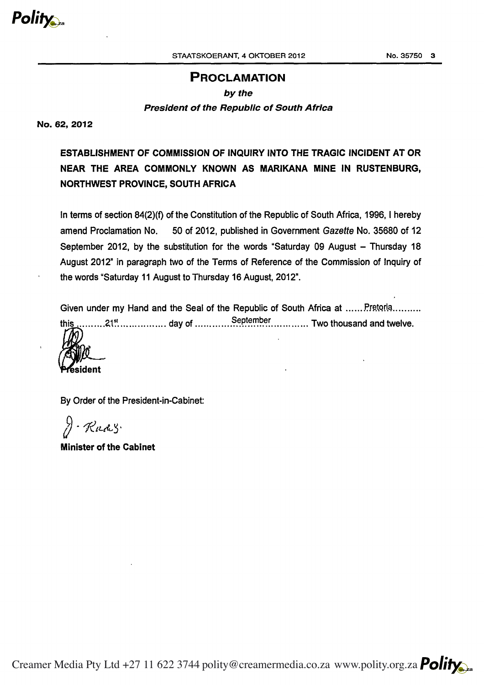# **PROCLAMATION**

# **by the**

#### **President of the Republic of South Africa**

**No. 62, 2012**

**ESTABLISHMENT OF COMMISSION OF INQUIRY INTO THE TRAGIC INCIDENT AT OR NEAR THE AREA COMMONLY KNOWN AS MARIKANA MINE IN RUSTENBURG, NORTHWEST PROVINCE, SOUTH AFRICA**

In terms of section 84(2)(f) of the Constitution of the Republic of South Africa, 1996, I hereby amend Proclamation No. 50 of 2012, published in Government Gazette No. 35680 of 12 September 2012, by the substitution for the words "Saturday 09 August - Thursday 18 August 2012" in paragraph two of the Terms of Reference of the Commission of Inquiry of the words "Saturday 11 August to Thursday 16 August, 2012".

Given under my Hand and the Seal of the Republic of South Africa at ...... Pretoria......... this at?'. day of .?SP£7\*®r Two thousand and twelve.

ident

By Order of the President-in-Cabinet:

Richts.

Minister of the Cabinet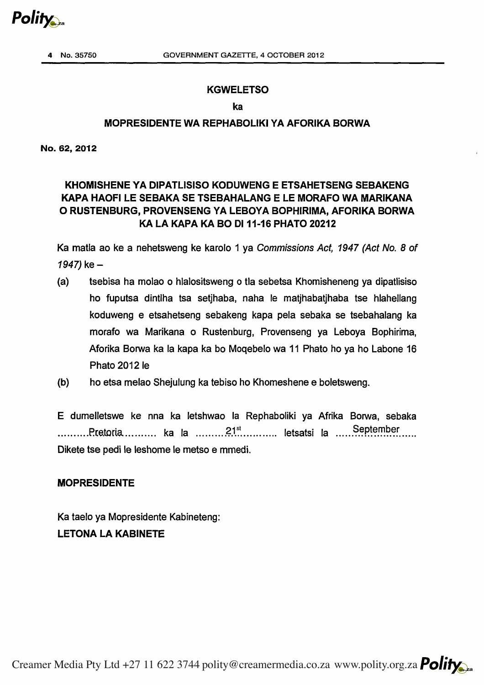**Polity** 

# **KGWELETSO**

**ka**

# **MOPRESIDENTE WA REPHABOLIKI YA AFORIKA BORWA**

**No. 62, 2012**

# **KHOMISHENE YA DIPATLISISO KODUWENG E ETSAHETSENG SEBAKENG KAPA HAOFI LE SEBAKA SE TSEBAHALANG E LE MORAFO WA MARIKANA O RUSTENBURG, PROVENSENG YA LEBOYA BOPHIRIMA, AFORIKA BORWA KA LA KAPA KA BO DI 11-16 PHATO 20212**

Ka matla ao ke a nehetsweng ke karolo 1 ya Commissions Act, 1947 (Act No. 8 of **1947) ke -**

- (a) tsebisa ha molao o hialositsweng o tla sebetsa Khomisheneng ya dipatlisiso ho fuputsa dintlha tsa setjhaba, naha le matjhabatjhaba tse hlahellang koduweng e etsahetseng sebakeng kapa pela sebaka se tsebahalang ka morafo wa Marikana o Rustenburg, Provenseng ya Leboya Bophirima, Aforika Borwa ka la kapa ka bo Moqebelo wa 11 Phato ho ya ho Labone 16 Phato 2012 le
- (b) ho etsa melao Shejulung ka tebiso ho Khomeshene e boletsweng.

E dumelletswe ke nna ka letshwao la Rephaboliki ya Afrika Borwa, sebaka Pretoria…........ ka la …......21<sup>st</sup>….......... letsatsi la …..<del>................</del> Dikete tse pedi le leshome le metso e mmedi.

## **MOPRESIDENTE**

Ka taelo ya Mopresidente Kabineteng: **LETONA LA KABINETE**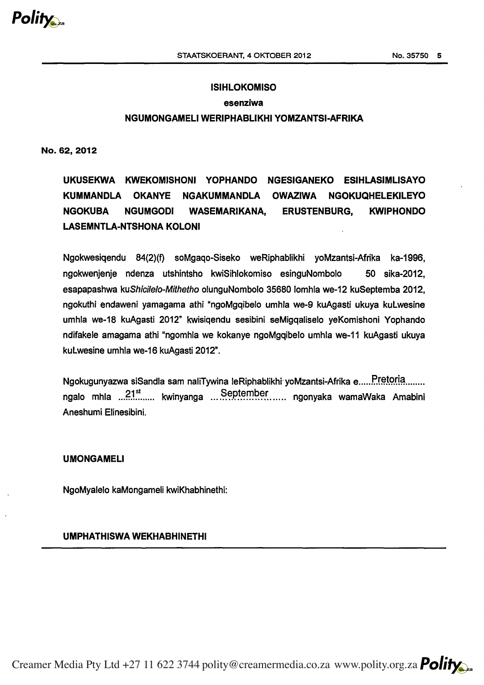

#### **ISIHLOKOMISO**

#### **esenziwa**

#### **NGUMONGAMELIWERIPHABLIKHI YOMZANTSI-AFRIKA**

**No. 62, 2012**

**UKUSEKWA KWEKOMISHONI YOPHANDO NGESIGANEKO ESIHLASIMLISAYO KUMMANDLA OKANYE NGAKUMMANDLA OWAZIWA NGOKUQHELEKILEYO NGOKUBA NGUMGODI WASEMARIKANA, ERUSTENBURG, KWIPHONDO LASEMNTLA-NTSHONA KOLONI**

Ngokwesiqendu 84(2)(f) soMgaqo-Siseko weRiphablikhi yoMzantsi-Afrika ka-1996, ngokwenjenje ndenza utshintsho kwiSihlokomiso esinguNombolo 50 sika-2012, esapapashwa kuShicilelo-Mithetho olunguNombolo 35680 lomhia we-12 kuSeptemba 2012, ngokuthi endaweni yamagama athi "ngoMgqibelo umhla we-9 kuAgasti ukuya kuLwesine umhla we-18 kuAgasti 2012" kwisiqendu sesibini seMigqaliselo yeKomishoni Yophando ndifakele amagama athi "ngomhla we kokanye ngoMgqibelo umhla we-11 kuAgasti ukuya kuLwesine umhla we-16 kuAgasti 2012".

Ngokugunyazwa siSandla sam naliTywina leRiphablikhi yoMzantsi-Afrika e.....Pretoria........ ngalo mhla ...<del>?.!."</del>...... kwinyanga ....<del>....................</del>. ngonyaka wamaWaka Amabini Aneshumi Elinesibini.

#### **UMONGAMELI**

NgoMyalelo kaMongameli kwiKhabhinethi:

### **UMPHATHISWA WEKHABHINETHI**

Creamer Media Pty Ltd +27 11 622 3744 polity@creamermedia.co.za www.polity.org.za **Polity**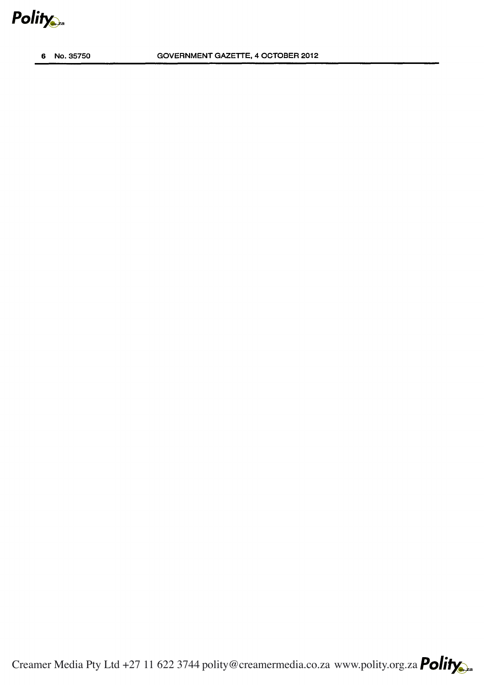**Polity**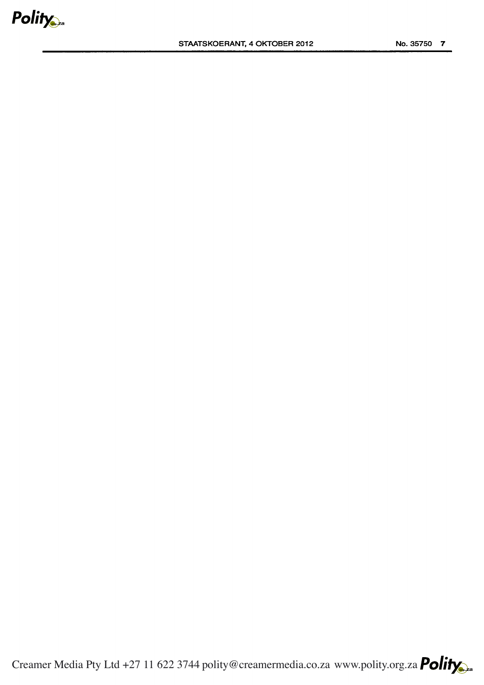